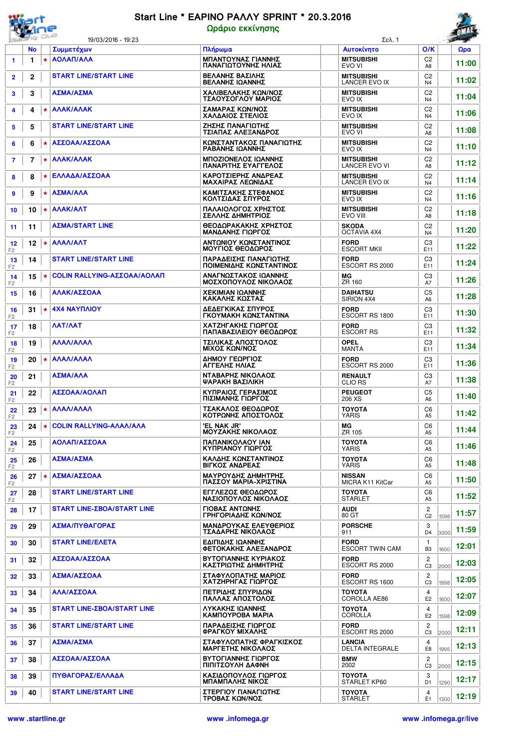

## Start Line \* EAPINO PAAAY SPRINT \* 20.3.2016 Ωράριο εκκίνησης

|           |                                              | 19/03/2016 - 19:23                                              |                                                                                                                                                                                                                                                 | Σελ. 1                                                                                                                                                                                                                                                                                                                                                                                                                                                                                                                                                  |                                                                                                                                                                                                                                                                                                                                                       |                                                                                                                                                                                                                                     | $\sim$ |
|-----------|----------------------------------------------|-----------------------------------------------------------------|-------------------------------------------------------------------------------------------------------------------------------------------------------------------------------------------------------------------------------------------------|---------------------------------------------------------------------------------------------------------------------------------------------------------------------------------------------------------------------------------------------------------------------------------------------------------------------------------------------------------------------------------------------------------------------------------------------------------------------------------------------------------------------------------------------------------|-------------------------------------------------------------------------------------------------------------------------------------------------------------------------------------------------------------------------------------------------------------------------------------------------------------------------------------------------------|-------------------------------------------------------------------------------------------------------------------------------------------------------------------------------------------------------------------------------------|--------|
| <b>No</b> |                                              | Συμμετέχων                                                      | Πλήρωμα                                                                                                                                                                                                                                         | Αυτοκίνητο                                                                                                                                                                                                                                                                                                                                                                                                                                                                                                                                              | O/K                                                                                                                                                                                                                                                                                                                                                   |                                                                                                                                                                                                                                     | Ωρα    |
| 1         | $\star$                                      |                                                                 | ΜΠΑΝΤΟΥΝΑΣ ΓΙΑΝΝΗΣ<br>ΠΑΝΑΓΙΩΤΟΥΝΗΣ ΗΛΙΑΣ                                                                                                                                                                                                       | <b>MITSUBISHI</b><br>EVO VI                                                                                                                                                                                                                                                                                                                                                                                                                                                                                                                             | C <sub>2</sub><br>A8                                                                                                                                                                                                                                                                                                                                  |                                                                                                                                                                                                                                     | 11:00  |
| 2         |                                              | <b>START LINE/START LINE</b>                                    | ΒΕΛΑΝΗΣ ΒΑΣΙΛΗΣ<br>ΒΕΛΑΝΗΣ ΙΩΑΝΝΗΣ                                                                                                                                                                                                              | <b>MITSUBISHI</b><br><b>LANCER EVO IX</b>                                                                                                                                                                                                                                                                                                                                                                                                                                                                                                               | C <sub>2</sub><br>N4                                                                                                                                                                                                                                                                                                                                  |                                                                                                                                                                                                                                     | 11:02  |
| 3         |                                              | ΑΣΜΑ/ΑΣΜΑ                                                       | ΧΑΛΙΒΕΛΑΚΗΣ ΚΩΝ/ΝΟΣ                                                                                                                                                                                                                             | <b>MITSUBISHI</b>                                                                                                                                                                                                                                                                                                                                                                                                                                                                                                                                       | C <sub>2</sub>                                                                                                                                                                                                                                                                                                                                        |                                                                                                                                                                                                                                     | 11:04  |
| 4         | $\star$                                      | <b>ANAK/ANAK</b>                                                | ΣΑΜΑΡΑΣ ΚΩΝ/ΝΟΣ                                                                                                                                                                                                                                 | <b>MITSUBISHI</b>                                                                                                                                                                                                                                                                                                                                                                                                                                                                                                                                       | C <sub>2</sub>                                                                                                                                                                                                                                                                                                                                        |                                                                                                                                                                                                                                     | 11:06  |
| 5         |                                              | <b>START LINE/START LINE</b>                                    | ΖΗΣΗΣ ΠΑΝΑΓΙΩΤΗΣ                                                                                                                                                                                                                                | <b>MITSUBISHI</b>                                                                                                                                                                                                                                                                                                                                                                                                                                                                                                                                       | C <sub>2</sub>                                                                                                                                                                                                                                                                                                                                        |                                                                                                                                                                                                                                     | 11:08  |
| 6         | $\star$                                      | ΑΣΣΟΑΑ/ΑΣΣΟΑΑ                                                   | ΚΩΝΣΤΑΝΤΑΚΟΣ ΠΑΝΑΓΙΩΤΗΣ                                                                                                                                                                                                                         | <b>MITSUBISHI</b>                                                                                                                                                                                                                                                                                                                                                                                                                                                                                                                                       | C <sub>2</sub>                                                                                                                                                                                                                                                                                                                                        |                                                                                                                                                                                                                                     | 11:10  |
| 7         | $\star$                                      | <b>ANAK/ANAK</b>                                                | ΜΠΟΖΙΟΝΕΛΟΣ ΙΩΑΝΝΗΣ                                                                                                                                                                                                                             | <b>MITSUBISHI</b>                                                                                                                                                                                                                                                                                                                                                                                                                                                                                                                                       | C <sub>2</sub>                                                                                                                                                                                                                                                                                                                                        |                                                                                                                                                                                                                                     | 11:12  |
| 8         | $\star$                                      | ΕΛΛΑΔΑ/ΑΣΣΟΑΑ                                                   | ΚΑΡΟΤΣΙΕΡΗΣ ΑΝΔΡΕΑΣ                                                                                                                                                                                                                             | <b>MITSUBISHI</b>                                                                                                                                                                                                                                                                                                                                                                                                                                                                                                                                       | C <sub>2</sub>                                                                                                                                                                                                                                                                                                                                        |                                                                                                                                                                                                                                     | 11:14  |
| 9         | $\star$                                      | ΑΣΜΑ/ΑΛΑ                                                        | ΚΑΜΙΤΣΑΚΗΣ ΣΤΕΦΑΝΟΣ                                                                                                                                                                                                                             | <b>MITSUBISHI</b>                                                                                                                                                                                                                                                                                                                                                                                                                                                                                                                                       | C <sub>2</sub>                                                                                                                                                                                                                                                                                                                                        |                                                                                                                                                                                                                                     | 11:16  |
| 10        | $\star$                                      | <b>ANAK/ANT</b>                                                 | ΠΑΛΑΙΟΛΟΓΟΣ ΧΡΗΣΤΟΣ                                                                                                                                                                                                                             | <b>MITSUBISHI</b>                                                                                                                                                                                                                                                                                                                                                                                                                                                                                                                                       | C <sub>2</sub>                                                                                                                                                                                                                                                                                                                                        |                                                                                                                                                                                                                                     | 11:18  |
|           |                                              | <b>AZMA/START LINE</b>                                          | ΘΕΟΔΩΡΑΚΑΚΗΣ ΧΡΗΣΤΟΣ                                                                                                                                                                                                                            | <b>SKODA</b>                                                                                                                                                                                                                                                                                                                                                                                                                                                                                                                                            | A8<br>C <sub>2</sub>                                                                                                                                                                                                                                                                                                                                  |                                                                                                                                                                                                                                     |        |
|           |                                              |                                                                 | ΜΑΝΔΑΝΗΣ ΓΙΩΡΓΟΣ                                                                                                                                                                                                                                | OCTAVIA 4X4                                                                                                                                                                                                                                                                                                                                                                                                                                                                                                                                             | N4                                                                                                                                                                                                                                                                                                                                                    |                                                                                                                                                                                                                                     | 11:20  |
|           |                                              |                                                                 | ΜΟΥΓΙΟΣ ΘΕΟΔΩΡΟΣ                                                                                                                                                                                                                                | <b>ESCORT MKII</b>                                                                                                                                                                                                                                                                                                                                                                                                                                                                                                                                      | E11                                                                                                                                                                                                                                                                                                                                                   |                                                                                                                                                                                                                                     | 11:22  |
|           |                                              |                                                                 | ΠΟΙΜΕΝΙΔΗΣ ΚΩΝΣΤΑΝΤΙΝΟΣ                                                                                                                                                                                                                         | ESCORT RS 2000                                                                                                                                                                                                                                                                                                                                                                                                                                                                                                                                          | E11                                                                                                                                                                                                                                                                                                                                                   |                                                                                                                                                                                                                                     | 11:24  |
| 15        |                                              |                                                                 | ΜΟΣΧΟΠΟΥΛΟΣ ΝΙΚΟΛΑΟΣ                                                                                                                                                                                                                            | ZR 160                                                                                                                                                                                                                                                                                                                                                                                                                                                                                                                                                  | A7                                                                                                                                                                                                                                                                                                                                                    |                                                                                                                                                                                                                                     | 11:26  |
| 16        |                                              | ΑΛΑΚ/ΑΣΣΟΑΑ                                                     | ΧΕΚΙΜΙΑΝ ΙΩΑΝΝΗΣ<br>ΚΑΚΑΛΗΣ ΚΩΣΤΑΣ                                                                                                                                                                                                              | <b>DAIHATSU</b><br>SIRION 4X4                                                                                                                                                                                                                                                                                                                                                                                                                                                                                                                           | C <sub>5</sub><br>A6                                                                                                                                                                                                                                                                                                                                  |                                                                                                                                                                                                                                     | 11:28  |
| 31        | $\star$                                      | <b>4X4 NAYFIAIOY</b>                                            | ΔΕΔΕΓΚΙΚΑΣ ΣΠΥΡΟΣ<br>ΓΚΟΥΜΑΚΗ ΚΩΝΣΤΑΝΤΙΝΑ                                                                                                                                                                                                       | <b>FORD</b><br>ESCORT RS 1800                                                                                                                                                                                                                                                                                                                                                                                                                                                                                                                           | C <sub>3</sub><br>E11                                                                                                                                                                                                                                                                                                                                 |                                                                                                                                                                                                                                     | 11:30  |
| 18        |                                              | ΛΑΤ/ΛΑΤ                                                         | ΧΑΤΖΗΓΑΚΗΣ ΓΙΩΡΓΟΣ<br>ΠΑΠΑΒΑΣΙΛΕΙΟΥ ΘΕΟΔΩΡΟΣ                                                                                                                                                                                                    | <b>FORD</b><br><b>ESCORT RS</b>                                                                                                                                                                                                                                                                                                                                                                                                                                                                                                                         | C <sub>3</sub><br>E11                                                                                                                                                                                                                                                                                                                                 |                                                                                                                                                                                                                                     | 11:32  |
| 19        |                                              | ΑΛΑΛ/ΑΛΑΛ                                                       | ΤΣΙΛΙΚΑΣ ΑΠΟΣΤΟΛΟΣ<br>ΜΙΧΟΣ ΚΩΝ/ΝΟΣ                                                                                                                                                                                                             | <b>OPEL</b><br><b>MANTA</b>                                                                                                                                                                                                                                                                                                                                                                                                                                                                                                                             | C <sub>3</sub><br>E11                                                                                                                                                                                                                                                                                                                                 |                                                                                                                                                                                                                                     | 11:34  |
| 20        | $\star$                                      | AAAA/AAAA                                                       | ΔΗΜΟΥ ΓΕΩΡΓΙΟΣ                                                                                                                                                                                                                                  | <b>FORD</b>                                                                                                                                                                                                                                                                                                                                                                                                                                                                                                                                             | C <sub>3</sub>                                                                                                                                                                                                                                                                                                                                        |                                                                                                                                                                                                                                     | 11:36  |
| 21        |                                              | ΑΣΜΑ/ΑΛΑ                                                        | ΝΤΑΒΑΡΗΣ ΝΙΚΟΛΑΟΣ                                                                                                                                                                                                                               | <b>RENAULT</b>                                                                                                                                                                                                                                                                                                                                                                                                                                                                                                                                          | C <sub>3</sub>                                                                                                                                                                                                                                                                                                                                        |                                                                                                                                                                                                                                     | 11:38  |
| 22        |                                              | ΑΣΣΟΑΑ/ΑΟΛΑΠ                                                    | ΚΥΠΡΑΙΟΣ ΓΕΡΑΣΙΜΟΣ                                                                                                                                                                                                                              | <b>PEUGEOT</b>                                                                                                                                                                                                                                                                                                                                                                                                                                                                                                                                          | C <sub>5</sub>                                                                                                                                                                                                                                                                                                                                        |                                                                                                                                                                                                                                     | 11:40  |
| 23        | $\star$                                      | AAAA/AAAA                                                       | ΤΣΑΚΑΛΟΣ ΘΕΟΔΩΡΟΣ                                                                                                                                                                                                                               | <b>TOYOTA</b>                                                                                                                                                                                                                                                                                                                                                                                                                                                                                                                                           | C6                                                                                                                                                                                                                                                                                                                                                    |                                                                                                                                                                                                                                     | 11:42  |
| 24        |                                              |                                                                 | 'EL NAK JR'                                                                                                                                                                                                                                     | МG                                                                                                                                                                                                                                                                                                                                                                                                                                                                                                                                                      | C <sub>6</sub>                                                                                                                                                                                                                                                                                                                                        |                                                                                                                                                                                                                                     | 11:44  |
| 25        |                                              | ΑΟΛΑΠ/ΑΣΣΟΑΑ                                                    | ΠΑΠΑΝΙΚΟΛΑΟΥ ΙΑΝ                                                                                                                                                                                                                                | <b>TOYOTA</b>                                                                                                                                                                                                                                                                                                                                                                                                                                                                                                                                           | C6                                                                                                                                                                                                                                                                                                                                                    |                                                                                                                                                                                                                                     | 11:46  |
| 26        |                                              | ΑΣΜΑ/ΑΣΜΑ                                                       | ΚΑΛΔΗΣ ΚΩΝΣΤΑΝΤΙΝΟΣ                                                                                                                                                                                                                             | <b>TOYOTA</b>                                                                                                                                                                                                                                                                                                                                                                                                                                                                                                                                           | C6                                                                                                                                                                                                                                                                                                                                                    |                                                                                                                                                                                                                                     | 11:48  |
|           |                                              | ΑΣΜΑ/ΑΣΣΟΑΑ                                                     | ΜΑΥΡΟΥΔΗΣ ΔΗΜΗΤΡΗΣ                                                                                                                                                                                                                              | <b>NISSAN</b>                                                                                                                                                                                                                                                                                                                                                                                                                                                                                                                                           | C6                                                                                                                                                                                                                                                                                                                                                    |                                                                                                                                                                                                                                     | 11:50  |
| 28        |                                              | <b>START LINE/START LINE</b>                                    | ΕΓΓΛΕΖΟΣ ΘΕΟΔΩΡΟΣ                                                                                                                                                                                                                               | <b>TOYOTA</b>                                                                                                                                                                                                                                                                                                                                                                                                                                                                                                                                           | C6                                                                                                                                                                                                                                                                                                                                                    |                                                                                                                                                                                                                                     |        |
|           |                                              |                                                                 |                                                                                                                                                                                                                                                 |                                                                                                                                                                                                                                                                                                                                                                                                                                                                                                                                                         | A <sub>5</sub>                                                                                                                                                                                                                                                                                                                                        |                                                                                                                                                                                                                                     | 11:52  |
|           |                                              |                                                                 | ΓΡΗΓΟΡΙΑΔΗΣ ΚΩΝ/ΝΟΣ                                                                                                                                                                                                                             | 80 GT                                                                                                                                                                                                                                                                                                                                                                                                                                                                                                                                                   | C <sub>2</sub>                                                                                                                                                                                                                                                                                                                                        | 1598                                                                                                                                                                                                                                | 11:57  |
|           |                                              |                                                                 | ΤΣΑΔΑΡΗΣ ΝΙΚΟΛΑΟΣ                                                                                                                                                                                                                               | 911                                                                                                                                                                                                                                                                                                                                                                                                                                                                                                                                                     | D <sub>4</sub>                                                                                                                                                                                                                                                                                                                                        | 3000                                                                                                                                                                                                                                | 11:59  |
|           |                                              |                                                                 | ΦΕΤΟΚΑΚΗΣ ΑΛΕΞΑΝΔΡΟΣ                                                                                                                                                                                                                            | <b>ESCORT TWIN CAM</b>                                                                                                                                                                                                                                                                                                                                                                                                                                                                                                                                  | B <sub>3</sub>                                                                                                                                                                                                                                                                                                                                        | 1600                                                                                                                                                                                                                                | 12:01  |
|           |                                              |                                                                 | ΚΑΣΤΡΙΩΤΗΣ ΔΗΜΗΤΡΗΣ                                                                                                                                                                                                                             | ESCORT RS 2000                                                                                                                                                                                                                                                                                                                                                                                                                                                                                                                                          | C <sub>3</sub>                                                                                                                                                                                                                                                                                                                                        | 2000                                                                                                                                                                                                                                | 12:03  |
|           |                                              |                                                                 | ΧΑΤΖΗΡΗΓΑΣ ΓΙΩΡΓΟΣ                                                                                                                                                                                                                              | ESCORT RS 1600                                                                                                                                                                                                                                                                                                                                                                                                                                                                                                                                          | C <sub>3</sub>                                                                                                                                                                                                                                                                                                                                        | 1998                                                                                                                                                                                                                                | 12:05  |
| 34        |                                              | ΑΛΑ/ΑΣΣΟΑΑ                                                      | ΠΕΤΡΙΔΗΣ ΣΠΥΡΙΔΩΝ<br>ΠΑΛΛΑΣ ΑΠΟΣΤΟΛΟΣ                                                                                                                                                                                                           | <b>TOYOTA</b><br>COROLLA AE86                                                                                                                                                                                                                                                                                                                                                                                                                                                                                                                           | 4<br>E <sub>2</sub>                                                                                                                                                                                                                                                                                                                                   | 1600                                                                                                                                                                                                                                | 12:07  |
| 35        |                                              | START LINE-ΣΒΟΑ/START LINE                                      | ΛΥΚΑΚΗΣ ΙΩΑΝΝΗΣ<br><b>KAMNOYPOBA MAPIA</b>                                                                                                                                                                                                      | ΤΟΥΟΤΑ<br><b>COROLLA</b>                                                                                                                                                                                                                                                                                                                                                                                                                                                                                                                                | 4<br>E <sub>2</sub>                                                                                                                                                                                                                                                                                                                                   | 1598                                                                                                                                                                                                                                | 12:09  |
| 36        |                                              | <b>START LINE/START LINE</b>                                    | ΠΑΡΑΔΕΙΣΗΣ ΓΙΩΡΓΟΣ<br>ΦΡΑΓΚΟΥ ΜΙΧΑΛΗΣ                                                                                                                                                                                                           | <b>FORD</b><br>ESCORT RS 2000                                                                                                                                                                                                                                                                                                                                                                                                                                                                                                                           | $\overline{c}$<br>C <sub>3</sub>                                                                                                                                                                                                                                                                                                                      | 2000                                                                                                                                                                                                                                | 12:11  |
| 37        |                                              | ΑΣΜΑ/ΑΣΜΑ                                                       | ΣΤΑΦΥΛΟΠΑΤΗΣ ΦΡΑΓΚΙΣΚΟΣ<br>ΜΑΡΓΕΤΗΣ ΝΙΚΟΛΑΟΣ                                                                                                                                                                                                    | <b>LANCIA</b><br><b>DELTA INTEGRALE</b>                                                                                                                                                                                                                                                                                                                                                                                                                                                                                                                 | 4<br>E8                                                                                                                                                                                                                                                                                                                                               | 1995                                                                                                                                                                                                                                | 12:13  |
| 38        |                                              | ΑΣΣΟΑΑ/ΑΣΣΟΑΑ                                                   | ΒΥΤΟΓΙΑΝΝΗΣ ΓΙΩΡΓΟΣ<br>ΠΙΠΙΤΣΟΥΛΗ ΔΑΦΝΗ                                                                                                                                                                                                         | <b>BMW</b><br>2002                                                                                                                                                                                                                                                                                                                                                                                                                                                                                                                                      | $\overline{c}$<br>C <sub>3</sub>                                                                                                                                                                                                                                                                                                                      | 2000                                                                                                                                                                                                                                | 12:15  |
|           |                                              |                                                                 |                                                                                                                                                                                                                                                 |                                                                                                                                                                                                                                                                                                                                                                                                                                                                                                                                                         |                                                                                                                                                                                                                                                                                                                                                       |                                                                                                                                                                                                                                     |        |
| 39        |                                              | ΠΥΘΑΓΟΡΑΣ/ΕΛΛΑΔΑ                                                | ΚΑΣΙΔΟΠΟΥΛΟΣ ΓΙΩΡΓΟΣ<br>ΜΠΑΜΠΑΛΗΣ ΝΙΚΟΣ                                                                                                                                                                                                         | <b>TOYOTA</b><br>STARLET KP60                                                                                                                                                                                                                                                                                                                                                                                                                                                                                                                           | 3<br>D <sub>1</sub>                                                                                                                                                                                                                                                                                                                                   | 1290                                                                                                                                                                                                                                | 12:17  |
|           | 11<br>12<br>14<br>17<br>29<br>30<br>32<br>33 | $\vert \star$<br>$\vert \star$<br>$\vert \star$<br>$27$ $\star$ | ΑΟΛΑΠ/ΑΛΑ<br><b>AAAA/AAT</b><br><b>START LINE/START LINE</b><br><b>COLIN RALLYING-ΑΣΣΟΑΑ/ΑΟΛΑΠ</b><br><b>COLIN RALLYING-AVAA/AVA</b><br>START LINE-ΣΒΟΑ/START LINE<br>ΑΣΜΑ/ΠΥΘΑΓΟΡΑΣ<br><b>START LINE/EAETA</b><br>ΑΣΣΟΑΑ/ΑΣΣΟΑΑ<br>ΑΣΜΑ/ΑΣΣΟΑΑ | ΤΣΑΟΥΣΟΓΛΟΥ ΜΑΡΙΟΣ<br>ΧΑΛΔΑΙΟΣ ΣΤΕΛΙΟΣ<br>ΤΣΙΑΠΑΣ ΑΛΕΞΑΝΔΡΟΣ<br>ΡΑΒΑΝΗΣ ΙΩΑΝΝΗΣ<br>ΠΑΝΑΡΙΤΗΣ ΕΥΑΓΓΕΛΟΣ<br>ΜΑΧΑΙΡΑΣ ΛΕΩΝΙΔΑΣ<br>ΚΟΛΤΣΙΔΑΣ ΣΠΥΡΟΣ<br>ΣΕΛΛΗΣ ΔΗΜΗΤΡΙΟΣ<br>ΑΝΤΩΝΙΟΥ ΚΩΝΣΤΑΝΤΙΝΟΣ<br>ΠΑΡΑΔΕΙΣΗΣ ΠΑΝΑΓΙΩΤΗΣ<br>ΑΝΑΓΝΩΣΤΑΚΟΣ ΙΩΑΝΝΗΣ<br>ΑΓΓΕΛΗΣ ΗΛΙΑΣ<br>ΨΑΡΑΚΗ ΒΑΣΙΛΙΚΗ<br>ΠΙΣΙΜΑΝΗΣ ΓΙΩΡΓΟΣ<br>ΚΟΤΡΩΝΗΣ ΑΠΟΣΤΟΛΟΣ<br>ΜΟΥΖΑΚΗΣ ΝΙΚΟΛΑΟΣ<br>ΚΥΠΡΙΑΝΟΥ ΓΙΩΡΓΟΣ<br>ΒΙΓΚΟΣ ΑΝΔΡΕΑΣ<br>ΠΑΣΣΟΥ ΜΑΡΙΑ-ΧΡΙΣΤΙΝΑ<br>ΝΑΣΙΟΠΟΥΛΟΣ ΝΙΚΟΛΑΟΣ<br>ΓΙΟΒΑΣ ΑΝΤΩΝΗΣ<br>ΜΑΝΔΡΟΥΚΑΣ ΕΛΕΥΘΕΡΙΟΣ<br>ΕΔΙΠΙΔΗΣ ΙΩΑΝΝΗΣ<br>ΒΥΤΟΓΙΑΝΝΗΣ ΚΥΡΙΑΚΟΣ<br>ΣΤΑΦΥΛΟΠΑΤΗΣ ΜΑΡΙΟΣ | EVO IX<br>EVO IX<br>EVO VI<br>EVO IX<br><b>LANCER EVO VI</b><br>LANCER EVO IX<br>EVO IX<br>EVO VIII<br><b>FORD</b><br><b>FORD</b><br>МG<br>ESCORT RS 2000<br><b>CLIO RS</b><br>206 XS<br>YARIS<br>ZR 105<br>YARIS<br><b>YARIS</b><br>MICRA K11 KitCar<br><b>STARLET</b><br><b>AUDI</b><br><b>PORSCHE</b><br><b>FORD</b><br><b>FORD</b><br><b>FORD</b> | N4<br>N4<br>A8<br>N4<br>A8<br>N4<br>N4<br>C <sub>3</sub><br>C <sub>3</sub><br>C <sub>3</sub><br>E11<br>A7<br>A6<br>A <sub>5</sub><br>A <sub>5</sub><br>A <sub>5</sub><br>A5<br>A <sub>5</sub><br>2<br>3<br>1<br>$\overline{c}$<br>2 |        |